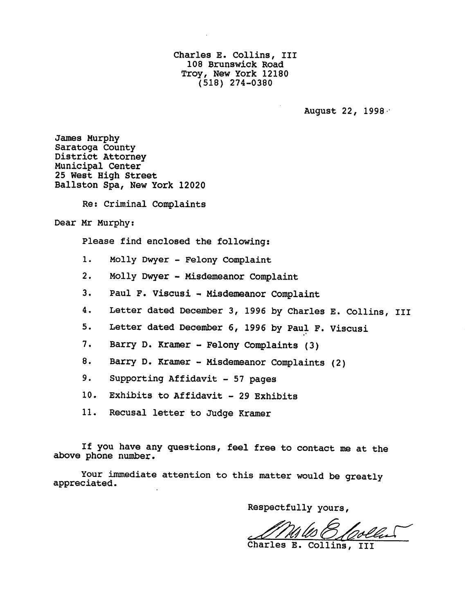Charles E. Collins, III 108 Brunswick Road Troy, New York 12180 (518) 274-0380

August 22, 1998 -

James Murphy Saratoga County District Attorney Municipal Center 25 West High Street Ballston Spa, New York 12020

Re: Criminal Complaints

Dear Mr Murphy:

Please find enclosed the following:

- 1. Molly Dwyer Felony Complaint
- 2. Molly Dwyer Misdemeanor Complaint
- 3. Paul F. Viscusi Misdemeanor Complaint
- 4. Letter dated December 3, 1996 by Charles E. Collins, III
- 5. Letter dated December 6, 1996 by Paul F. Viscusi
- 7. Barry D. Kramer Felony Complaints (3)
- 8. Barry D. Kramer Misdemeanor Complaints (2)
- 9. Supporting Affidavit 57 pages
- 10. Exhibits to Affidavit 29 Exhibits
- 11. Recusal letter to Judge Kramer

If you have any questions, feel free to contact me at the above phone number.

Your immediate attention to this matter would be greatly appreciated.

Respectfully yours,

Charles E. Collins,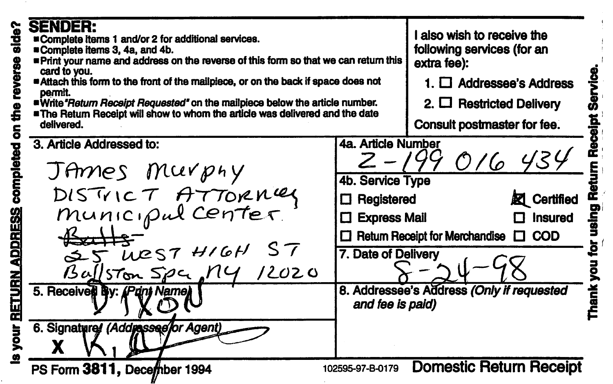| side?<br>reverse<br>ti<br>S<br>ō | SENDER:<br><b>¤Complete items 1 and/or 2 for additional services.</b><br>Complete items 3, 4a, and 4b.<br>Print your name and address on the reverse of this form so that we can return this<br>card to you.<br>Attach this form to the front of the mailpiece, or on the back if space does not<br>permit.<br>"Write "Return Receipt Requested" on the mailpiece below the article number.<br><b>"The Return Receipt will show to whom the article was delivered and the date</b><br>delivered. |                                                                                                                                                                                                                                                                               | I also wish to receive the<br>following services (for an<br>extra fee):<br>1. $\Box$ Addressee's Address<br>2. $\Box$ Restricted Delivery<br>Consult postmaster for fee. |      |
|----------------------------------|--------------------------------------------------------------------------------------------------------------------------------------------------------------------------------------------------------------------------------------------------------------------------------------------------------------------------------------------------------------------------------------------------------------------------------------------------------------------------------------------------|-------------------------------------------------------------------------------------------------------------------------------------------------------------------------------------------------------------------------------------------------------------------------------|--------------------------------------------------------------------------------------------------------------------------------------------------------------------------|------|
| completed<br>ADDRESS             | 3. Article Addressed to:<br>JAmes Murphy<br>DISTRICT ATTORNEY<br>كحكك<br>$25$ $\mu$ est $H/6H$ ST<br>$Bq/s$ Ton $Spc$ , $N4$ /2020<br>5. Received By: (Pant Name)                                                                                                                                                                                                                                                                                                                                | 4a. Article Number<br>$2 - 199016434$<br>4b. Service Type<br><b>図</b> Certified<br>$\Box$ Registered<br>口 Express Mail<br>Insured<br>$\Box$ Return Receipt for Merchandise $\Box$ COD<br>7. Date of Delivery<br>8. Addressee's Address (Only if requested<br>and fee is paid) |                                                                                                                                                                          | hank |
| <b>Solv</b>                      | 6. Signatured (Addussee/or Agent)<br>PS Form 3811, December 1994                                                                                                                                                                                                                                                                                                                                                                                                                                 | 102595-97-B-0179                                                                                                                                                                                                                                                              | <b>Domestic Return Receipt</b>                                                                                                                                           |      |

 $\frac{1}{2}$